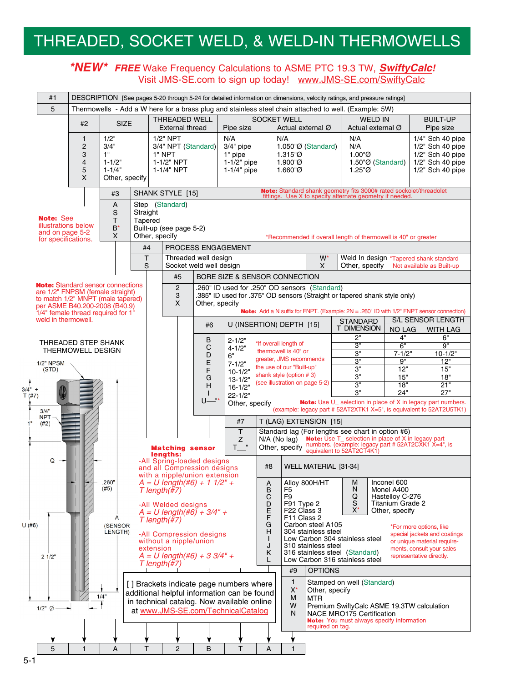# THREADED, SOCKET WELD, & WELD-IN THERMOWELLS

#### **\*NEW\* FREE** Wake Frequency Calculations to ASME PTC 19.3 TW, **SwiftyCalc!** Visit JMS-SE.com to sign up today! www.JMS-SE.com/SwiftyCalc